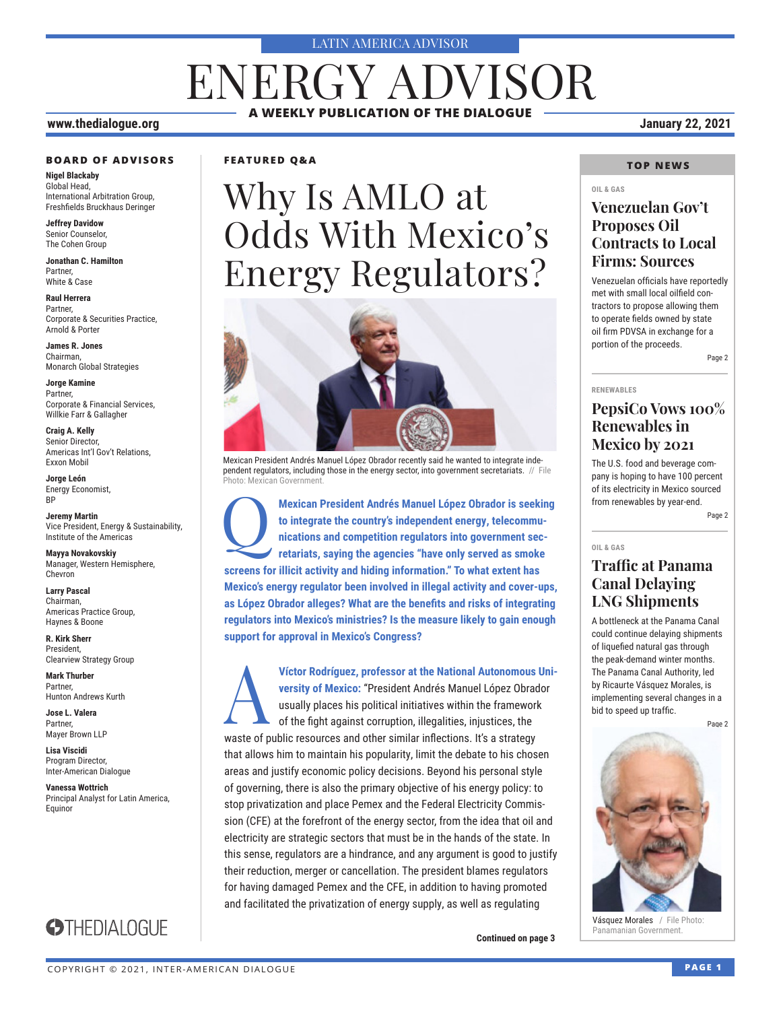#### LATIN AMERICA ADVISOR

## ENERGY ADVISOR **A WEEKLY PUBLICATION OF THE DIALOGUE**

#### **www.thedialogue.org January 22, 2021**

#### **BOARD OF ADVISORS**

**Nigel Blackaby** Global Head, International Arbitration Group, Freshfields Bruckhaus Deringer

**Jeffrey Davidow** Senior Counselor, The Cohen Group

**Jonathan C. Hamilton** Partner, White & Case

**Raul Herrera** Partner, Corporate & Securities Practice, Arnold & Porter

**James R. Jones** Chairman, Monarch Global Strategies

**Jorge Kamine** Partner, Corporate & Financial Services, Willkie Farr & Gallagher

**Craig A. Kelly** Senior Director, Americas Int'l Gov't Relations, Exxon Mobil

**Jorge León** Energy Economist, BP

**Jeremy Martin** Vice President, Energy & Sustainability, Institute of the Americas

**Mayya Novakovskiy** Manager, Western Hemisphere, Chevron

**Larry Pascal** Chairman, Americas Practice Group, Haynes & Boone

**R. Kirk Sherr** President, Clearview Strategy Group

**Mark Thurber** Partner, Hunton Andrews Kurth

**Jose L. Valera** Partner, Mayer Brown LLP

**Lisa Viscidi** Program Director, Inter-American Dialogue

**Vanessa Wottrich** Principal Analyst for Latin America, Equinor

**STHEDIALOGUE** 



# Why Is AMLO at Odds With Mexico's Energy Regulators?



Mexican President Andrés Manuel López Obrador recently said he wanted to integrate independent regulators, including those in the energy sector, into government secretariats. // File Photo: Mexican Government.

**Mexican President Andrés Manuel López Obrador is seeking to integrate the country's independent energy, telecommunications and competition regulators into government secretariats, saying the agencies "have only served as to integrate the country's independent energy, telecommunications and competition regulators into government secscreens for illicit activity and hiding information." To what extent has Mexico's energy regulator been involved in illegal activity and cover-ups, as López Obrador alleges? What are the benefits and risks of integrating regulators into Mexico's ministries? Is the measure likely to gain enough support for approval in Mexico's Congress?**

**Víctor Rodríguez, professor at the National Autonomous University of Mexico: "President Andrés Manuel López Obrador usually places his political initiatives within the framework of the fight against corruption, illegaliti versity of Mexico:** "President Andrés Manuel López Obrador usually places his political initiatives within the framework of the fight against corruption, illegalities, injustices, the waste of public resources and other similar inflections. It's a strategy that allows him to maintain his popularity, limit the debate to his chosen areas and justify economic policy decisions. Beyond his personal style of governing, there is also the primary objective of his energy policy: to stop privatization and place Pemex and the Federal Electricity Commission (CFE) at the forefront of the energy sector, from the idea that oil and electricity are strategic sectors that must be in the hands of the state. In this sense, regulators are a hindrance, and any argument is good to justify their reduction, merger or cancellation. The president blames regulators for having damaged Pemex and the CFE, in addition to having promoted and facilitated the privatization of energy supply, as well as regulating

**Continued on page 3** 

#### **TOP NEWS**

#### **OIL & GAS**

### **Venezuelan Gov't Proposes Oil Contracts to Local Firms: Sources**

Venezuelan officials have reportedly met with small local oilfield contractors to propose allowing them to operate fields owned by state oil firm PDVSA in exchange for a portion of the proceeds.

Page 2

#### **RENEWABLES**

### **PepsiCo Vows 100% Renewables in Mexico by 2021**

The U.S. food and beverage company is hoping to have 100 percent of its electricity in Mexico sourced from renewables by year-end.

Page 2

#### **OIL & GAS**

#### **Traffic at Panama Canal Delaying LNG Shipments**

A bottleneck at the Panama Canal could continue delaying shipments of liquefied natural gas through the peak-demand winter months. The Panama Canal Authority, led by Ricaurte Vásquez Morales, is implementing several changes in a bid to speed up traffic.

Page 2



Vásquez Morales / File Photo: Panamanian Government.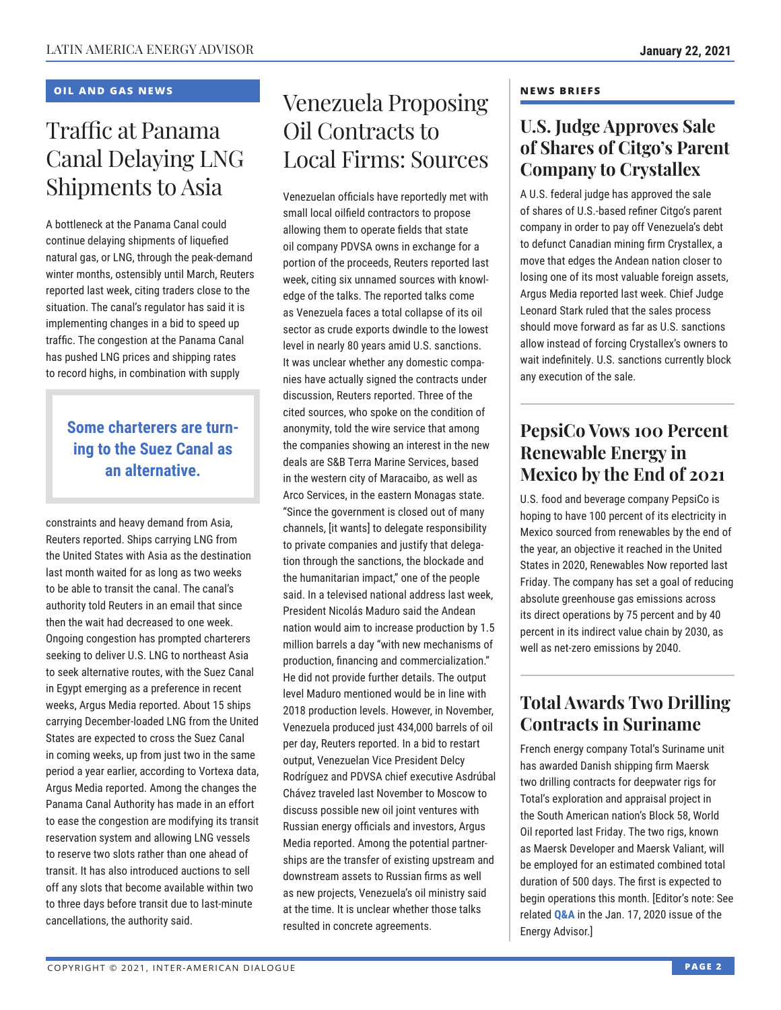#### **OIL AND GAS NEWS**

### Traffic at Panama Canal Delaying LNG Shipments to Asia

A bottleneck at the Panama Canal could continue delaying shipments of liquefied natural gas, or LNG, through the peak-demand winter months, ostensibly until March, Reuters reported last week, citing traders close to the situation. The canal's regulator has said it is implementing changes in a bid to speed up traffic. The congestion at the Panama Canal has pushed LNG prices and shipping rates to record highs, in combination with supply

### **Some charterers are turning to the Suez Canal as an alternative.**

constraints and heavy demand from Asia, Reuters reported. Ships carrying LNG from the United States with Asia as the destination last month waited for as long as two weeks to be able to transit the canal. The canal's authority told Reuters in an email that since then the wait had decreased to one week. Ongoing congestion has prompted charterers seeking to deliver U.S. LNG to northeast Asia to seek alternative routes, with the Suez Canal in Egypt emerging as a preference in recent weeks, Argus Media reported. About 15 ships carrying December-loaded LNG from the United States are expected to cross the Suez Canal in coming weeks, up from just two in the same period a year earlier, according to Vortexa data, Argus Media reported. Among the changes the Panama Canal Authority has made in an effort to ease the congestion are modifying its transit reservation system and allowing LNG vessels to reserve two slots rather than one ahead of transit. It has also introduced auctions to sell off any slots that become available within two to three days before transit due to last-minute cancellations, the authority said.

### Venezuela Proposing Oil Contracts to Local Firms: Sources

Venezuelan officials have reportedly met with small local oilfield contractors to propose allowing them to operate fields that state oil company PDVSA owns in exchange for a portion of the proceeds, Reuters reported last week, citing six unnamed sources with knowledge of the talks. The reported talks come as Venezuela faces a total collapse of its oil sector as crude exports dwindle to the lowest level in nearly 80 years amid U.S. sanctions. It was unclear whether any domestic companies have actually signed the contracts under discussion, Reuters reported. Three of the cited sources, who spoke on the condition of anonymity, told the wire service that among the companies showing an interest in the new deals are S&B Terra Marine Services, based in the western city of Maracaibo, as well as Arco Services, in the eastern Monagas state. "Since the government is closed out of many channels, [it wants] to delegate responsibility to private companies and justify that delegation through the sanctions, the blockade and the humanitarian impact," one of the people said. In a televised national address last week, President Nicolás Maduro said the Andean nation would aim to increase production by 1.5 million barrels a day "with new mechanisms of production, financing and commercialization." He did not provide further details. The output level Maduro mentioned would be in line with 2018 production levels. However, in November, Venezuela produced just 434,000 barrels of oil per day, Reuters reported. In a bid to restart output, Venezuelan Vice President Delcy Rodríguez and PDVSA chief executive Asdrúbal Chávez traveled last November to Moscow to discuss possible new oil joint ventures with Russian energy officials and investors, Argus Media reported. Among the potential partnerships are the transfer of existing upstream and downstream assets to Russian firms as well as new projects, Venezuela's oil ministry said at the time. It is unclear whether those talks resulted in concrete agreements.

#### **NEWS BRIEFS**

### **U.S. Judge Approves Sale of Shares of Citgo's Parent Company to Crystallex**

A U.S. federal judge has approved the sale of shares of U.S.-based refiner Citgo's parent company in order to pay off Venezuela's debt to defunct Canadian mining firm Crystallex, a move that edges the Andean nation closer to losing one of its most valuable foreign assets, Argus Media reported last week. Chief Judge Leonard Stark ruled that the sales process should move forward as far as U.S. sanctions allow instead of forcing Crystallex's owners to wait indefinitely. U.S. sanctions currently block any execution of the sale.

### **PepsiCo Vows 100 Percent Renewable Energy in Mexico by the End of 2021**

U.S. food and beverage company PepsiCo is hoping to have 100 percent of its electricity in Mexico sourced from renewables by the end of the year, an objective it reached in the United States in 2020, Renewables Now reported last Friday. The company has set a goal of reducing absolute greenhouse gas emissions across its direct operations by 75 percent and by 40 percent in its indirect value chain by 2030, as well as net-zero emissions by 2040.

### **Total Awards Two Drilling Contracts in Suriname**

French energy company Total's Suriname unit has awarded Danish shipping firm Maersk two drilling contracts for deepwater rigs for Total's exploration and appraisal project in the South American nation's Block 58, World Oil reported last Friday. The two rigs, known as Maersk Developer and Maersk Valiant, will be employed for an estimated combined total duration of 500 days. The first is expected to begin operations this month. [Editor's note: See related **Q&A** in the Jan. 17, 2020 issue of the Ener[gy Adviso](http://www.thedialogue.org/wp-content/uploads/2020/01/LEA200117.pdf)r.]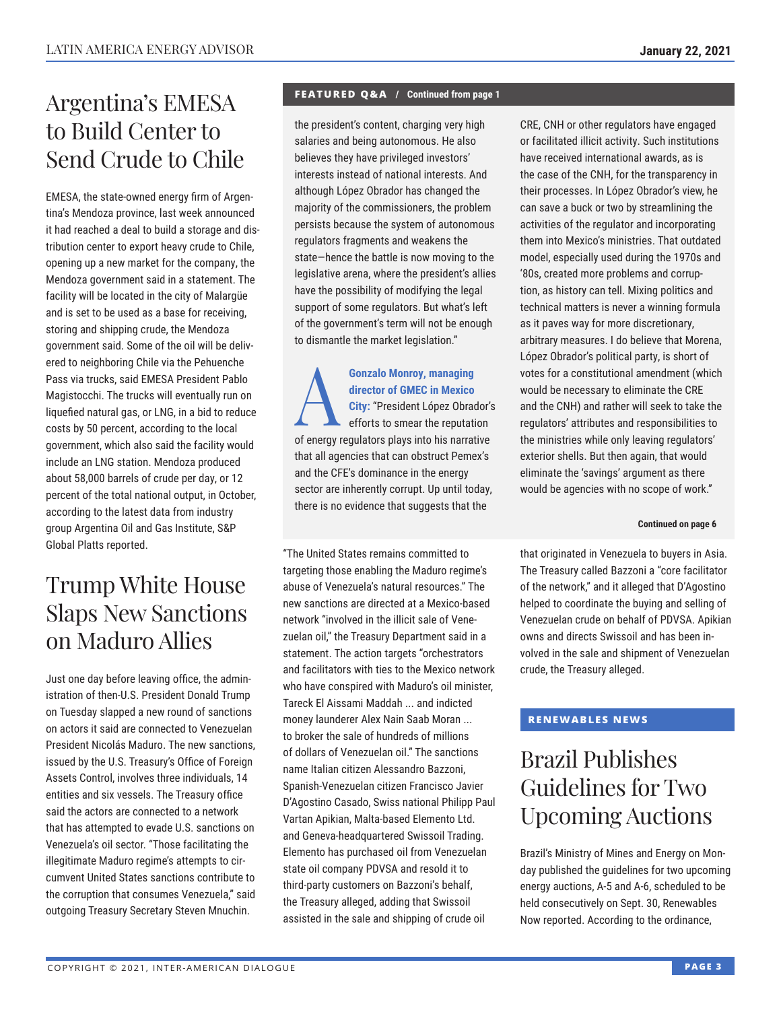### Argentina's EMESA to Build Center to Send Crude to Chile

EMESA, the state-owned energy firm of Argentina's Mendoza province, last week announced it had reached a deal to build a storage and distribution center to export heavy crude to Chile, opening up a new market for the company, the Mendoza government said in a statement. The facility will be located in the city of Malargüe and is set to be used as a base for receiving, storing and shipping crude, the Mendoza government said. Some of the oil will be delivered to neighboring Chile via the Pehuenche Pass via trucks, said EMESA President Pablo Magistocchi. The trucks will eventually run on liquefied natural gas, or LNG, in a bid to reduce costs by 50 percent, according to the local government, which also said the facility would include an LNG station. Mendoza produced about 58,000 barrels of crude per day, or 12 percent of the total national output, in October, according to the latest data from industry group Argentina Oil and Gas Institute, S&P Global Platts reported.

### Trump White House Slaps New Sanctions on Maduro Allies

Just one day before leaving office, the administration of then-U.S. President Donald Trump on Tuesday slapped a new round of sanctions on actors it said are connected to Venezuelan President Nicolás Maduro. The new sanctions, issued by the U.S. Treasury's Office of Foreign Assets Control, involves three individuals, 14 entities and six vessels. The Treasury office said the actors are connected to a network that has attempted to evade U.S. sanctions on Venezuela's oil sector. "Those facilitating the illegitimate Maduro regime's attempts to circumvent United States sanctions contribute to the corruption that consumes Venezuela," said outgoing Treasury Secretary Steven Mnuchin.

#### **FEATURED Q&A / Continued from page 1**

the president's content, charging very high salaries and being autonomous. He also believes they have privileged investors' interests instead of national interests. And although López Obrador has changed the majority of the commissioners, the problem persists because the system of autonomous regulators fragments and weakens the state—hence the battle is now moving to the legislative arena, where the president's allies have the possibility of modifying the legal support of some regulators. But what's left of the government's term will not be enough to dismantle the market legislation."

**Gonzalo Monroy, managing<br>director of GMEC in Mexico<br>City: "President López Obrac<br>efforts to smear the reputation director of GMEC in Mexico City:** "President López Obrador's efforts to smear the reputation of energy regulators plays into his narrative that all agencies that can obstruct Pemex's and the CFE's dominance in the energy sector are inherently corrupt. Up until today, there is no evidence that suggests that the

"The United States remains committed to targeting those enabling the Maduro regime's abuse of Venezuela's natural resources." The new sanctions are directed at a Mexico-based network "involved in the illicit sale of Venezuelan oil," the Treasury Department said in a statement. The action targets "orchestrators and facilitators with ties to the Mexico network who have conspired with Maduro's oil minister, Tareck El Aissami Maddah ... and indicted money launderer Alex Nain Saab Moran ... to broker the sale of hundreds of millions of dollars of Venezuelan oil." The sanctions name Italian citizen Alessandro Bazzoni, Spanish-Venezuelan citizen Francisco Javier D'Agostino Casado, Swiss national Philipp Paul Vartan Apikian, Malta-based Elemento Ltd. and Geneva-headquartered Swissoil Trading. Elemento has purchased oil from Venezuelan state oil company PDVSA and resold it to third-party customers on Bazzoni's behalf, the Treasury alleged, adding that Swissoil assisted in the sale and shipping of crude oil

CRE, CNH or other regulators have engaged or facilitated illicit activity. Such institutions have received international awards, as is the case of the CNH, for the transparency in their processes. In López Obrador's view, he can save a buck or two by streamlining the activities of the regulator and incorporating them into Mexico's ministries. That outdated model, especially used during the 1970s and '80s, created more problems and corruption, as history can tell. Mixing politics and technical matters is never a winning formula as it paves way for more discretionary, arbitrary measures. I do believe that Morena, López Obrador's political party, is short of votes for a constitutional amendment (which would be necessary to eliminate the CRE and the CNH) and rather will seek to take the regulators' attributes and responsibilities to the ministries while only leaving regulators' exterior shells. But then again, that would eliminate the 'savings' argument as there would be agencies with no scope of work."

#### **Continued on page 6**

that originated in Venezuela to buyers in Asia. The Treasury called Bazzoni a "core facilitator of the network," and it alleged that D'Agostino helped to coordinate the buying and selling of Venezuelan crude on behalf of PDVSA. Apikian owns and directs Swissoil and has been involved in the sale and shipment of Venezuelan crude, the Treasury alleged.

#### **RENEWABLES NEWS**

### Brazil Publishes Guidelines for Two Upcoming Auctions

Brazil's Ministry of Mines and Energy on Monday published the guidelines for two upcoming energy auctions, A-5 and A-6, scheduled to be held consecutively on Sept. 30, Renewables Now reported. According to the ordinance,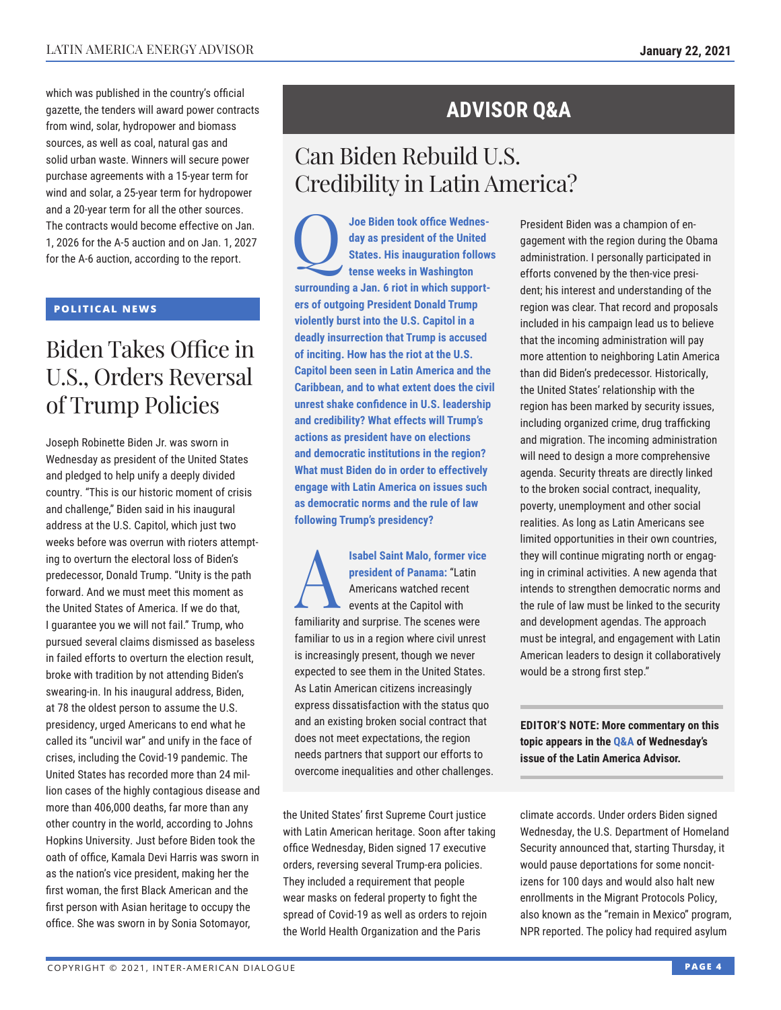which was published in the country's official gazette, the tenders will award power contracts from wind, solar, hydropower and biomass sources, as well as coal, natural gas and solid urban waste. Winners will secure power purchase agreements with a 15-year term for wind and solar, a 25-year term for hydropower and a 20-year term for all the other sources. The contracts would become effective on Jan. 1, 2026 for the A-5 auction and on Jan. 1, 2027 for the A-6 auction, according to the report.

#### **POLITICAL NEWS**

### Biden Takes Office in U.S., Orders Reversal of Trump Policies

Joseph Robinette Biden Jr. was sworn in Wednesday as president of the United States and pledged to help unify a deeply divided country. "This is our historic moment of crisis and challenge," Biden said in his inaugural address at the U.S. Capitol, which just two weeks before was overrun with rioters attempting to overturn the electoral loss of Biden's predecessor, Donald Trump. "Unity is the path forward. And we must meet this moment as the United States of America. If we do that, I guarantee you we will not fail." Trump, who pursued several claims dismissed as baseless in failed efforts to overturn the election result, broke with tradition by not attending Biden's swearing-in. In his inaugural address, Biden, at 78 the oldest person to assume the U.S. presidency, urged Americans to end what he called its "uncivil war" and unify in the face of crises, including the Covid-19 pandemic. The United States has recorded more than 24 million cases of the highly contagious disease and more than 406,000 deaths, far more than any other country in the world, according to Johns Hopkins University. Just before Biden took the oath of office, Kamala Devi Harris was sworn in as the nation's vice president, making her the first woman, the first Black American and the first person with Asian heritage to occupy the office. She was sworn in by Sonia Sotomayor,

### **ADVISOR Q&A**

### Can Biden Rebuild U.S. Credibility in Latin America?

**1** Joe Biden took office Wednes-<br>
day as president of the United<br>
States. His inauguration follow<br>
tense weeks in Washington **day as president of the United States. His inauguration follows tense weeks in Washington surrounding a Jan. 6 riot in which supporters of outgoing President Donald Trump violently burst into the U.S. Capitol in a deadly insurrection that Trump is accused of inciting. How has the riot at the U.S. Capitol been seen in Latin America and the Caribbean, and to what extent does the civil unrest shake confidence in U.S. leadership and credibility? What effects will Trump's actions as president have on elections and democratic institutions in the region? What must Biden do in order to effectively engage with Latin America on issues such as democratic norms and the rule of law following Trump's presidency?**

**Isabel Saint Malo, former vice president of Panama:** "Latin Americans watched recent events at the Capitol with familiarity and surprise. The scenes were familiar to us in a region where civil unrest is increasingly present, though we never expected to see them in the United States. As Latin American citizens increasingly express dissatisfaction with the status quo and an existing broken social contract that does not meet expectations, the region needs partners that support our efforts to overcome inequalities and other challenges.

the United States' first Supreme Court justice with Latin American heritage. Soon after taking office Wednesday, Biden signed 17 executive orders, reversing several Trump-era policies. They included a requirement that people wear masks on federal property to fight the spread of Covid-19 as well as orders to rejoin the World Health Organization and the Paris

President Biden was a champion of engagement with the region during the Obama administration. I personally participated in efforts convened by the then-vice president; his interest and understanding of the region was clear. That record and proposals included in his campaign lead us to believe that the incoming administration will pay more attention to neighboring Latin America than did Biden's predecessor. Historically, the United States' relationship with the region has been marked by security issues, including organized crime, drug trafficking and migration. The incoming administration will need to design a more comprehensive agenda. Security threats are directly linked to the broken social contract, inequality, poverty, unemployment and other social realities. As long as Latin Americans see limited opportunities in their own countries, they will continue migrating north or engaging in criminal activities. A new agenda that intends to strengthen democratic norms and the rule of law must be linked to the security and development agendas. The approach must be integral, and engagement with Latin American leaders to design it collaboratively would be a strong first step."

**EDITOR'S NOTE: More commentary on this topic appears in t[he Q&A of](http://www.thedialogue.org/wp-content/uploads/2021/01/LAA210120.pdf) Wednesday's issue of the Latin America Advisor.**

climate accords. Under orders Biden signed Wednesday, the U.S. Department of Homeland Security announced that, starting Thursday, it would pause deportations for some noncitizens for 100 days and would also halt new enrollments in the Migrant Protocols Policy, also known as the "remain in Mexico" program, NPR reported. The policy had required asylum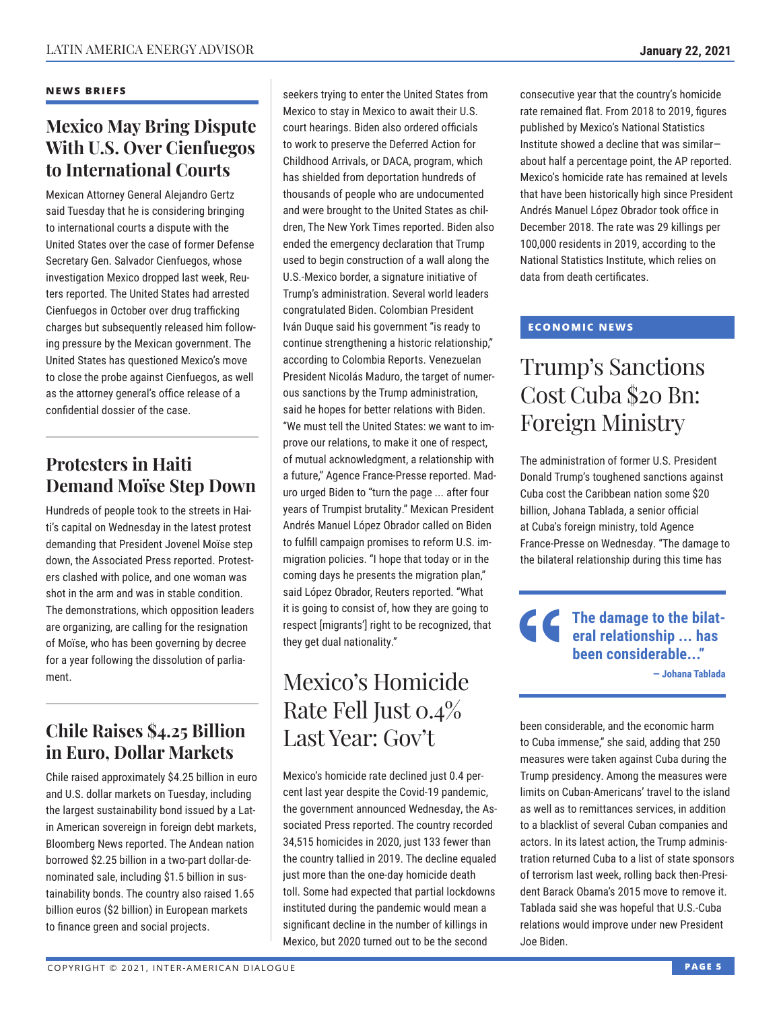#### **NEWS BRIEFS**

### **Mexico May Bring Dispute With U.S. Over Cienfuegos to International Courts**

Mexican Attorney General Alejandro Gertz said Tuesday that he is considering bringing to international courts a dispute with the United States over the case of former Defense Secretary Gen. Salvador Cienfuegos, whose investigation Mexico dropped last week, Reuters reported. The United States had arrested Cienfuegos in October over drug trafficking charges but subsequently released him following pressure by the Mexican government. The United States has questioned Mexico's move to close the probe against Cienfuegos, as well as the attorney general's office release of a confidential dossier of the case.

### **Protesters in Haiti Demand Moïse Step Down**

Hundreds of people took to the streets in Haiti's capital on Wednesday in the latest protest demanding that President Jovenel Moïse step down, the Associated Press reported. Protesters clashed with police, and one woman was shot in the arm and was in stable condition. The demonstrations, which opposition leaders are organizing, are calling for the resignation of Moïse, who has been governing by decree for a year following the dissolution of parliament.

### **Chile Raises \$4.25 Billion in Euro, Dollar Markets**

Chile raised approximately \$4.25 billion in euro and U.S. dollar markets on Tuesday, including the largest sustainability bond issued by a Latin American sovereign in foreign debt markets, Bloomberg News reported. The Andean nation borrowed \$2.25 billion in a two-part dollar-denominated sale, including \$1.5 billion in sustainability bonds. The country also raised 1.65 billion euros (\$2 billion) in European markets to finance green and social projects.

seekers trying to enter the United States from Mexico to stay in Mexico to await their U.S. court hearings. Biden also ordered officials to work to preserve the Deferred Action for Childhood Arrivals, or DACA, program, which has shielded from deportation hundreds of thousands of people who are undocumented and were brought to the United States as children, The New York Times reported. Biden also ended the emergency declaration that Trump used to begin construction of a wall along the U.S.-Mexico border, a signature initiative of Trump's administration. Several world leaders congratulated Biden. Colombian President Iván Duque said his government "is ready to continue strengthening a historic relationship," according to Colombia Reports. Venezuelan President Nicolás Maduro, the target of numerous sanctions by the Trump administration, said he hopes for better relations with Biden. "We must tell the United States: we want to improve our relations, to make it one of respect, of mutual acknowledgment, a relationship with a future," Agence France-Presse reported. Maduro urged Biden to "turn the page ... after four years of Trumpist brutality." Mexican President Andrés Manuel López Obrador called on Biden to fulfill campaign promises to reform U.S. immigration policies. "I hope that today or in the coming days he presents the migration plan," said López Obrador, Reuters reported. "What it is going to consist of, how they are going to respect [migrants'] right to be recognized, that they get dual nationality."

### Mexico's Homicide Rate Fell Just 0.4% Last Year: Gov't

Mexico's homicide rate declined just 0.4 percent last year despite the Covid-19 pandemic, the government announced Wednesday, the Associated Press reported. The country recorded 34,515 homicides in 2020, just 133 fewer than the country tallied in 2019. The decline equaled just more than the one-day homicide death toll. Some had expected that partial lockdowns instituted during the pandemic would mean a significant decline in the number of killings in Mexico, but 2020 turned out to be the second

consecutive year that the country's homicide rate remained flat. From 2018 to 2019, figures published by Mexico's National Statistics Institute showed a decline that was similar about half a percentage point, the AP reported. Mexico's homicide rate has remained at levels that have been historically high since President Andrés Manuel López Obrador took office in December 2018. The rate was 29 killings per 100,000 residents in 2019, according to the National Statistics Institute, which relies on data from death certificates.

#### **ECONOMIC NEWS**

### Trump's Sanctions Cost Cuba \$20 Bn: Foreign Ministry

The administration of former U.S. President Donald Trump's toughened sanctions against Cuba cost the Caribbean nation some \$20 billion, Johana Tablada, a senior official at Cuba's foreign ministry, told Agence France-Presse on Wednesday. "The damage to the bilateral relationship during this time has

**The damage to the bilateral relationship ... has been considerable..." — Johana Tablada**

been considerable, and the economic harm to Cuba immense," she said, adding that 250 measures were taken against Cuba during the Trump presidency. Among the measures were limits on Cuban-Americans' travel to the island as well as to remittances services, in addition to a blacklist of several Cuban companies and actors. In its latest action, the Trump administration returned Cuba to a list of state sponsors of terrorism last week, rolling back then-President Barack Obama's 2015 move to remove it. Tablada said she was hopeful that U.S.-Cuba relations would improve under new President Joe Biden.